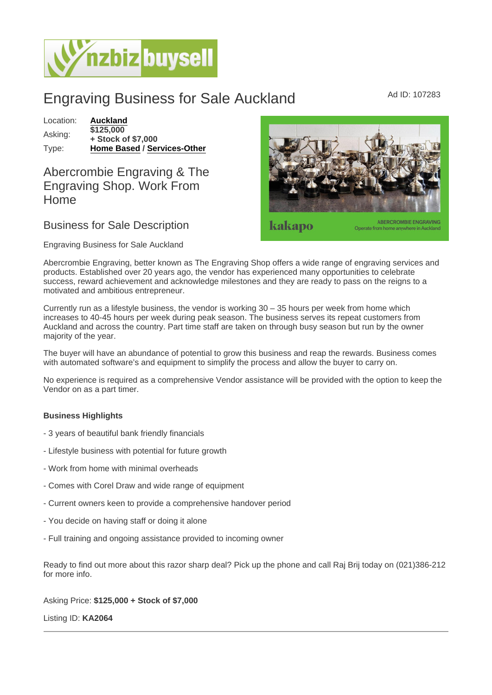## Engraving Business for Sale Auckland Ad ID: 107283

Location: [Auckland](https://www.nzbizbuysell.co.nz/businesses-for-sale/location/Auckland) Asking: \$125,000 + Stock of \$7,000 Type: [Home Based](https://www.nzbizbuysell.co.nz/businesses-for-sale/Home-Based/New-Zealand) / [Services-Other](https://www.nzbizbuysell.co.nz/businesses-for-sale/Services/New-Zealand)

## Abercrombie Engraving & The Engraving Shop. Work From Home

## Business for Sale Description

Engraving Business for Sale Auckland

Abercrombie Engraving, better known as The Engraving Shop offers a wide range of engraving services and products. Established over 20 years ago, the vendor has experienced many opportunities to celebrate success, reward achievement and acknowledge milestones and they are ready to pass on the reigns to a motivated and ambitious entrepreneur.

Currently run as a lifestyle business, the vendor is working  $30 - 35$  hours per week from home which increases to 40-45 hours per week during peak season. The business serves its repeat customers from Auckland and across the country. Part time staff are taken on through busy season but run by the owner majority of the year.

The buyer will have an abundance of potential to grow this business and reap the rewards. Business comes with automated software's and equipment to simplify the process and allow the buyer to carry on.

No experience is required as a comprehensive Vendor assistance will be provided with the option to keep the Vendor on as a part timer.

Business Highlights

- 3 years of beautiful bank friendly financials
- Lifestyle business with potential for future growth
- Work from home with minimal overheads
- Comes with Corel Draw and wide range of equipment
- Current owners keen to provide a comprehensive handover period
- You decide on having staff or doing it alone
- Full training and ongoing assistance provided to incoming owner

Ready to find out more about this razor sharp deal? Pick up the phone and call Raj Brij today on (021)386-212 for more info.

Asking Price: \$125,000 + Stock of \$7,000

Listing ID: KA2064